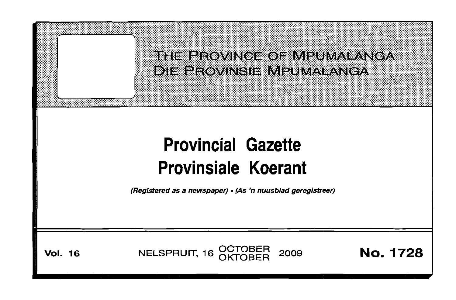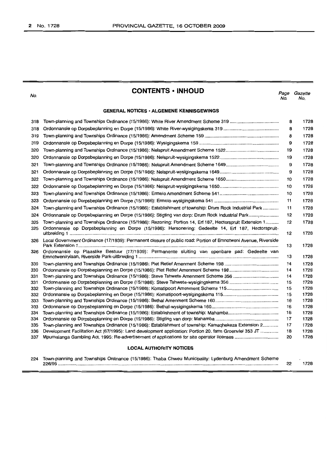No.

# **CONTENTS • INHOUD**

Page Gazette No. No.

# **GENERAL NOTICES· ALGEMENE KENNISGEWINGS**

| 318 |                                                                                                                | 8  | 1728 |
|-----|----------------------------------------------------------------------------------------------------------------|----|------|
| 318 |                                                                                                                | 8  | 1728 |
| 319 |                                                                                                                | 8  | 1728 |
| 319 |                                                                                                                | 9  | 1728 |
| 320 |                                                                                                                | 19 | 1728 |
| 320 |                                                                                                                | 19 | 1728 |
| 321 |                                                                                                                | 9  | 1728 |
| 321 |                                                                                                                | 9  | 1728 |
| 322 |                                                                                                                | 10 | 1728 |
| 322 |                                                                                                                | 10 | 1728 |
| 323 |                                                                                                                | 10 | 1728 |
| 323 |                                                                                                                | 11 | 1728 |
| 324 | Town-planning and Townships Ordinance (15/1986): Establishment of township: Drum Rock Industrial Park          | 11 | 1728 |
| 324 | Ordonnansie op Dorpsbeplanning en Dorpe (15/1986): Stigting van dorp: Drum Rock Industrial Park                | 12 | 1728 |
| 325 | Town-planning and Townships Ordinance (15/1986): Rezoning: Portion 14, Erf 187, Hectorspruit Extension 1       | 12 | 1728 |
| 325 | Ordonnansie op Dorpsbeplanning en Dorpe (15/1986): Hersonering: Gedeelte 14, Erf 187, Hectorspruit-            | 12 | 1728 |
| 326 | Local Government Ordinance (17/1939): Permanent closure of public road: Portion of Emnotweni Avenue, Riverside | 13 | 1728 |
| 326 | Ordonnansie op Plaaslike Bestuur (17/1939): Permanente sluiting van openbare pad: Gedeelte van                 | 13 | 1728 |
| 330 |                                                                                                                | 14 | 1728 |
| 330 |                                                                                                                | 14 | 1728 |
| 331 | Town-planning and Townships Ordinance (15/1986): Steve Tshwete Amenment Scheme 356                             | 14 | 1728 |
| 331 |                                                                                                                | 15 | 1728 |
| 332 |                                                                                                                | 15 | 1728 |
| 332 |                                                                                                                | 15 | 1728 |
| 333 |                                                                                                                | 16 | 1728 |
| 333 |                                                                                                                | 16 | 1728 |
| 334 |                                                                                                                | 16 | 1728 |
| 334 |                                                                                                                | 17 | 1728 |
| 335 | Town-planning and Townships Ordinance (15/1986): Establishment of township: Kamaghekeza Extension 2            | 17 | 1728 |
| 336 | Development Facilitation Act (67/1995): Land development application: Portion 20, farm Groenvlei 353 JT        | 18 | 1728 |
| 337 |                                                                                                                | 20 | 1728 |
|     | <b>LOCAL AUTHORITY NOTICES</b>                                                                                 |    |      |

| 224 Town-planning and Townships Ordinance (15/1986): Thaba Chweu Municipality: Lydenburg Amendment Scheme |      |
|-----------------------------------------------------------------------------------------------------------|------|
| $226/95$                                                                                                  | 1728 |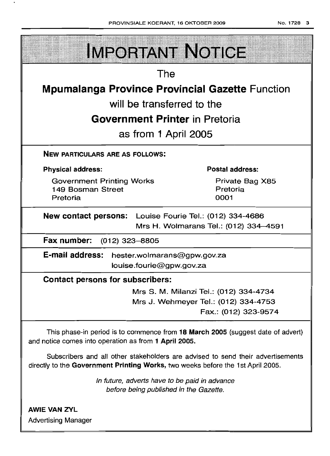| No. 1728 3<br>PROVINSIALE KOERANT, 16 OKTOBER 2009                                                                                                                 |  |  |  |  |  |  |
|--------------------------------------------------------------------------------------------------------------------------------------------------------------------|--|--|--|--|--|--|
| <b>IMPORTANT NOTICE</b>                                                                                                                                            |  |  |  |  |  |  |
| The                                                                                                                                                                |  |  |  |  |  |  |
| <b>Mpumalanga Province Provincial Gazette Function</b>                                                                                                             |  |  |  |  |  |  |
| will be transferred to the                                                                                                                                         |  |  |  |  |  |  |
| <b>Government Printer</b> in Pretoria                                                                                                                              |  |  |  |  |  |  |
| as from 1 April 2005                                                                                                                                               |  |  |  |  |  |  |
| <b>NEW PARTICULARS ARE AS FOLLOWS:</b>                                                                                                                             |  |  |  |  |  |  |
| Postal address:<br><b>Physical address:</b>                                                                                                                        |  |  |  |  |  |  |
| Private Bag X85<br><b>Government Printing Works</b><br>Pretoria<br>149 Bosman Street<br>0001<br>Pretoria                                                           |  |  |  |  |  |  |
| New contact persons: Louise Fourie Tel.: (012) 334-4686<br>Mrs H. Wolmarans Tel.: (012) 334-4591                                                                   |  |  |  |  |  |  |
| Fax number:<br>$(012)$ 323-8805                                                                                                                                    |  |  |  |  |  |  |
| <b>E-mail address:</b><br>hester.wolmarans@gpw.gov.za<br>louise.fourie@gpw.gov.za                                                                                  |  |  |  |  |  |  |
| <b>Contact persons for subscribers:</b>                                                                                                                            |  |  |  |  |  |  |
| Mrs S. M. Milanzi Tel.: (012) 334-4734<br>Mrs J. Wehmeyer Tel.: (012) 334-4753<br>Fax.: (012) 323-9574                                                             |  |  |  |  |  |  |
| This phase-in period is to commence from 18 March 2005 (suggest date of advert)<br>and notice comes into operation as from 1 April 2005.                           |  |  |  |  |  |  |
| Subscribers and all other stakeholders are advised to send their advertisements<br>directly to the Government Printing Works, two weeks before the 1st April 2005. |  |  |  |  |  |  |
| In future, adverts have to be paid in advance<br>before being published in the Gazette.                                                                            |  |  |  |  |  |  |
| <b>AWIE VAN ZYL</b><br><b>Advertising Manager</b>                                                                                                                  |  |  |  |  |  |  |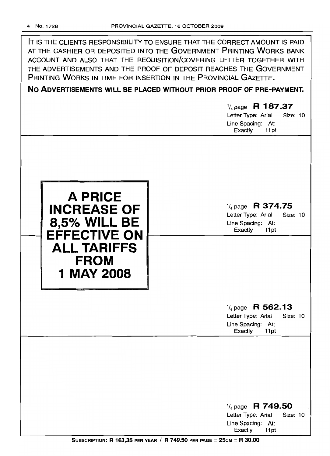IT IS THE CLIENTS RESPONSIBILITY TO ENSURE THAT THE CORRECT AMOUNT IS PAID AT THE CASHIER OR DEPOSITED INTO THE GOVERNMENT PRINTING WORKS BANK ACCOUNT AND ALSO THAT THE REQUISITION/COVERING LETTER TOGETHER WITH THE ADVERTISEMENTS AND THE PROOF OF DEPOSIT REACHES THE GOVERNMENT PRINTING WORKS IN TIME FOR INSERTION IN THE PROVINCIAL GAZETTE. **No ADVERTISEMENTS WILL BE PLACED WITHOUT PRIOR PROOF OF PRE-PAYMENT.**

**A PRICE INCREASE OF 8,5% WILL BE EFFECTIVE ON ALL TARIFFS FROM 1 MAY 2008**

1/4 page **R 374.75** Letter Type: Arial Size: 10 Line Spacing: At: Exactly 11 pt

1/4 page **R 187.37** Letter Type: Arial Size: 10

Line Spacing: At: Exactly 11 pt

1/4page **R 562.13**

Letter Type: Arial Size: 10 Line Spacing: At: Exactly 11pt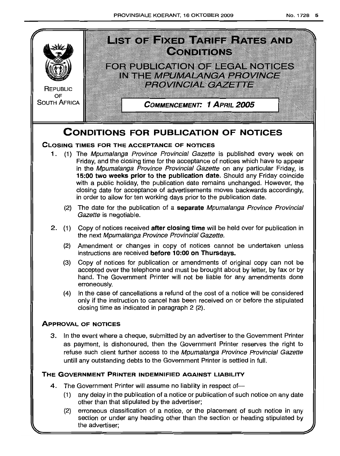

the advertiser;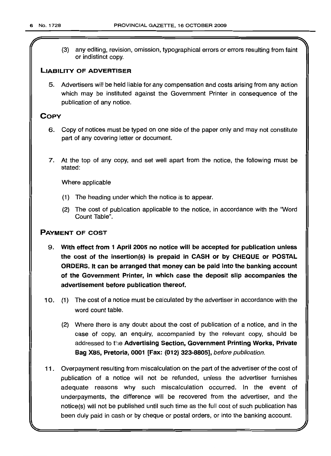*r*

(3) any editing, revision, omission, typographical errors or errors resulting from faint or indistinct copy.

# LIABILITY OF ADVERTISER

5. Advertisers will be held liable for any compensation and costs arising from any action which may be instituted against the Government Printer in consequence of the publication of any notice.

# **COPY**

- 6. Copy of notices must be typed on one side of the paper only and may not constitute part of any covering letter or document.
- 7. At the top of any copy, and set well apart from the notice, the following must be stated:

Where applicable

- (1) The heading under which the notice is to appear.
- (2) The cost of publication applicable to the notice, in accordance with the 'Word Count Table".

# PAYMENT OF COST

- 9. With effect from 1 April 2005 no notice will be accepted for publication unless the cost of the insertion(s) is prepaid in CASH or by CHEQUE or POSTAL ORDERS. It can be arranged that money can be paid into the banking account of the Government Printer, in which case the deposit slip accompanies the advertisement before publication thereof.
- 10. (1) The cost of a notice must be calculated by the advertiser in accordance with the word count table.
	- (2) Where there is any doubt about the cost of publication of a notice, and in the case of copy, an enquiry, accompanied by the relevant copy, should be addressed to the Advertising Section, Government Printing Works, Private Bag X8S, Pretoria, 0001 [Fax: (012) 323-8805], before publication.
- 11 . Overpayment resulting from miscalculation on the part of the advertiser of the cost of publication of a notice will not be refunded, unless the advertiser furnishes adequate reasons why such miscalculation occurred. In the event of underpayments, the difference will be recovered from the advertiser, and the notice(s} will not be published until such time as the full cost of such publication has been duly paid in cash or by cheque or postal orders, or into the banking account.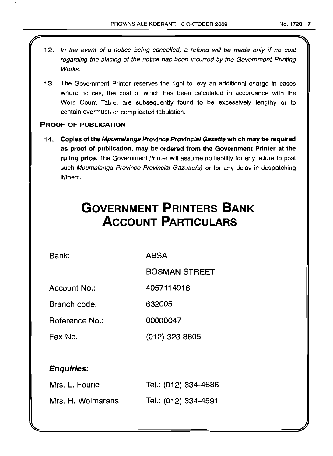- 12. In the event of a notice being cancelled, a refund will be made only if no cost regarding the placing of the notice has been incurred by the Government Printing Works.
- 13. The Government Printer reserves the right to levy an additional charge in cases where notices, the cost of which has been calculated in accordance with the Word Count Table, are subsequently found to be excessively lengthy or to contain overmuch or complicated tabulation.

# PROOF OF PUBLICATION

14. Copies of the Mpumalanga Province Provincial Gazette which may be required as proof of publication, may be ordered from the Government Printer at the ruling price. The Government Printer will assume no liability for any failure to post such Mpumalanga Province Provincial Gazette(s) or for any delay in despatching it/them.

# **GOVERNMENT PRINTERS BANK ACCOUNT PARTICULARS**

Bank: ABSA

BOSMAN STREET

Account No.: 4057114016

Branch code: 632005

Reference No.: 00000047

Fax No.: (012) 323 8805

# Enquiries:

| Mrs. L. Fourie    | Tel.: (012) 334-4686 |
|-------------------|----------------------|
| Mrs. H. Wolmarans | Tel.: (012) 334-4591 |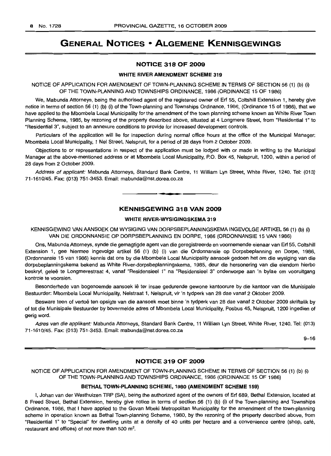# GENERAL NOTICES • ALGEMENE KENNISGEWINGS

### NOTICE 318 OF 2009

#### WHITE RIVER AMENDMENT SCHEME 319

NOTICE OF APPLICATION FOR AMENDMENT OF TOWN-PLANNING SCHEME IN TERMS OF SECTION 56 (1) (b) (i) OF THE TOWN-PLANNING AND TOWNSHIPS ORDINANCE, 1986 (ORDINANCE 15 OF 1986)

We, Mabunda Attorneys, being the authorised agent of the registered owner of Erf 55, Coltshill Extension 1, hereby give notice in terms of section 56 (1) (b) (i) of the Town-planning and Townships Ordinance, 1986, (Ordinance 15 of 1986), that we have applied to the Mbombela Local Municipality for the amendment of the town planning scheme known as White River Town Planning Scheme, 1985, by rezoning of the property described above, situated at 4 Longmere Street, from "Residential 1" to "Residential 3", subject to an annexure conditions to provide for increased development controls.

Particulars of the application will lie for inspection during normal office hours at the office of the Municipal Manager: Mbombela Local Municipality, 1 Nel Street, Nelspruit, for a period of 28 days from 2 October 2009.

Objections to or representations in respect of the application must be lodged with or made in writing to the Municipal Manager at the above-mentioned address or at Mbombela Local Municipality, P.O. Box 45, Nelspruit, 1200, within a period of 28 days from 2 October 2009.

Address of applicant: Mabunda Attorneys, Standard Bank Centre, 11 William Lyn Street, White River, 1240. Tel: (013) 71-1610/45. Fax: (013) 751-3453. Email: mabunda@nst.dorea.co.za

#### KENNISGEWING 318 VAN 2009

**• •**

#### WHITE RIVER-WYSIGINGSKEMA 319

KENNISGEWING VAN AANSOEK OM WYSIGING VAN DORPSBEPLANNINGSKEMA INGEVOLGE ARTIKEL 56 (1) (b) (i) VAN DIE ORDONNANSIE OP DORPSBEPLANNING EN DORPE, 1986 (ORDONNANSIE 15 VAN 1986)

Ons, Mabunda Attorneys, synde die gemagtigde agent van die geregistreerde en voornemende eienaar van Erf 55, Coltshill Extension 1, gee hiermee ingevolge artikel 56 (1) (b) (i) van die Ordonnansie op Dorpsbeplanning en Dorpe, 1986, (Ordonnansie 15 van 1986) kennis dat ons by die Mbombela Local Municipality aansoek gedoen het om die wysiging van die dorpsbeplanningskema bekend as White River-dorpsbeplanningskema, 1985, deur die hersonering van die eiendom hierbo beskryf, gelee te Longmerestraat 4, vanaf "Residensieel 1" na "Residensieel 3" onderworpe aan 'n bylae om vooruitgang kontrole te voorsien.

Besonderhede van bogenoemde aansoek lê ter insae gedurende gewone kantoorure by die kantoor van die Munisipale Bestuurder: Mbombela Local Municipality, Nelstraat 1, Nelspruit, vir 'n tydperk van 28 dae vanaf 2 Oktober 2009.

Besware teen of vertoë ten opsigte van die aansoek moet binne 'n tydperk van 28 dae vanaf 2 Oktober 2009 skriftelik by of tot die Munisipale Bestuurder by bovermelde adres of Mbombela Local Municipality, Posbus 45, Nelspruit, 1200 ingedien of gerig word.

Adres van die applikant: Mabunda Attorneys, Standard Bank Centre, 11 William Lyn Street, White River, 1240. Tel: (013) 71-1610/45. Fax: (013) 751-3453. Email: mabunda@nst.dorea.co.za

9-16

# NOTICE 319 OF 2009

NOTICE OF APPLICATION FOR AMENDMENT OF TOWN-PLANNING SCHEME IN TERMS OF SECTION 56 (1) (b) (i) OF THE TOWN-PLANNING AND TOWNSHIPS ORDINANCE, 1986 (ORDINANCE 15 OF 1986)

### BETHAL TOWN-PLANNING SCHEME, 1980 (AMENDMENT SCHEME 159)

I, Johan van der Westhuizen TRP (SA), being the authorized agent of the owners of Erf 689, Bethal Extension, located at 8 Freed Street, Bethal Extension, hereby give notice in terms of section 56 (1) (b) (i) of the Town-planning and Townships Ordinance, 1986, that I have applied to the Govan Mbeki Metropolitan Municipality for the amendment of the town-planning scheme in operation known as Bethal Town-planning Scheme, 1980, by the rezoning of the property described above, from "Residential 1" to "Special" for dwelling units at a density of 40 units per hectare and a convenience centre (shop, cafe, restaurant and offices) of not more than 500  $m^2$ .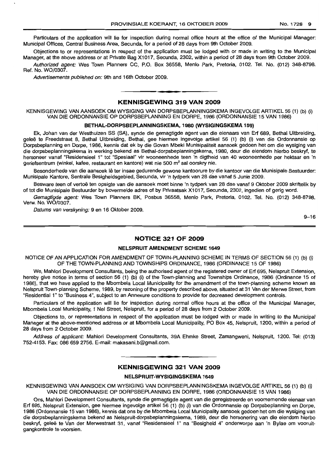Particulars of the application will lie for inspection during normal office hours at the office of the Municipal Manager: Municipal Offices, Central Business Area, Secunda, for a period of 28 days from 9th October 2009.

Objections to or representations in respect of the application must be lodged with or made in writing to the Municipal Manager, at the above address or at Private Bag X1017, Secunda, 2302, within a period of 28 days from 9th October 2009.

Authorized agent: Wes Town Planners CC, P.O. Box 36558, Menlo Park, Pretoria, 0102. Tel. No. (012) 348-8798. Ref. No. WO/0307.

Advertisements published on: 9th and 16th October 2009.

#### KENNISGEWING 319 VAN 2009

**• •**

KENNISGEWING VAN AANSOEK OM WYSIGING VAN DORPSBEPLANNINGSKEMA INGEVOLGE ARTIKEL 56 (1) (b) (i) VAN DIE ORDONNANSIE OP DORPSBEPLANNING EN DORPE, 1986 (ORDONNANSIE 15 VAN 1986)

#### BETHAL-DORPSBEPLANNINGSKEMA, 1980 (wySIGINGSKEMA 159)

Ek, Johan van der Westhuizen SS (SA), synde die gemagtigde agent van die eienaars van Erf 689, Bethal Uitbreiding, gelee te Freedstraat 8, Bethal Uitbreiding, Bethal, gee hiermee ingevolge artikel 56 (1) (b) (i) van die Ordonnansie op Dorpsbeplanning en Dorpe, 1986, kennis dat ek by die Govan Mbeki Munisipaliteit aansoek gedoen het om die wysiging van die dorpsbeplanningskema in werking bekend as Bethal-dorpsbeplanningskema, 1980, deur die eiendom hierbo beskryf, te hersoneer vanaf "Residensieel 1" tot "Spesiaal" vir wooneenhede teen 'n digtheid van 40 wooneenhede per hektaar en 'n geriefsentrum (winkel, kafee, restaurant en kantore) wat nie 500 m<sup>2</sup> sal oorskry nie.

Besonderhede van die aansoek lê ter insae gedurende gewone kantoorure by die kantoor van die Munisipale Bestuurder: Munisipale Kantore, Sentrale Besigheidsgebied, Secunda, vir 'n tydperk van 28 dae vanaf 5 Junie 2009.

Besware teen of vertoë ten opsigte van die aansoek moet binne 'n tydperk van 28 dae vanaf 9 Oktober 2009 skriftelik by of tot die Munisipale Bestuurder by bovermelde adres of by Privaatsak X1017, Secunda, 2302, ingedien of gerig word.

Gemagtigde agent: Wes Town Planners BK, Posbus 36558, Menlo Park, Pretoria, 0102. Tel. No. (012) 348-8798. Verw. No. WO/0307.

Datums van verskyning: 9 en 16 Oktober 2009.

9-16

#### NOTICE 321 OF 2009

#### NELSPRUIT AMENDMENT SCHEME 1649

NOTICE OF AN APPLICATION FOR AMENDMENT OF TOWN-PLANNING SCHEME IN TERMS OF SECTION 56 (1) (b) (i) OF THE TOWN-PLANNING AND TOWNSHIPS ORDINANCE, 1986 (ORDINANCE 15 OF 1986)

We, Mahlori Development Consultants, being the authorised agent of the registered owner of Erf 695, Nelspruit Extension, hereby give notice in terms of section 56 (1) (b) (i) of the Town-planning and Townships Ordinance, 1986 (Ordinance 15 of 1986), that we have applied to the Mbombela Local Municipality for the amendment of the town-planning scheme known as Nelspruit Town-planning Scheme, 1989, by rezoning of the property described above, situated at 31 Van der Merwe Street, from "Residential 1" to "Business 4", subject to an Annexure conditions to provide for decreased development controls.

Particulars of the application will lie for inspection during normal office hours at the office of the Municipal Manager, Mbombela Local Municipality, 1 Nel Street, Nelspruit, for a period of 28 days from 2 October 2009.

Objections to, or representations in respect of the application must be lodged with or made in writing to the Municipal Manager at the above-mentioned address or at Mbombela Local Municipality, PO Box 45, Nelspruit, 1200, within a period of 28 days from 2 October 2009.

Address of applicant: Mahlori Development Consultants, 39A Ehmke Street, Zamangweni, Nelspruit, 1200. Tel: (013) 752-4153. Fax: 086 659 2756. E-mail: makasani.b@gmail.com.

# **•** KENNISGEWING 321 VAN 2009

#### NELSPRUIT-WVSIGINGSKEMA 1649

KENNISGEWING VAN AANSOEK OM WYSIGING VAN DORPSBEPLANNINGSKEMA INGEVOLGE ARTIKEL 56 (1) (b) (i) VAN DIE ORDONNANSIE OP DORPSBEPLANNING EN DORPE, 1986 (ORDONNANSIE 15 VAN 1986)

Ons, Mahlori Development Consultants, synde die gemagtigde agent van die geregistreerde en voornemende eienaar van Erf 695, Nelspruit Extension, gee hiermee ingevolge artikel 56 (1) (b) (i) van die Ordonnansie op Dorpsbeplanning en Dorpe, 1986 (Ordonnansie 15 van 1986), kennis dat ons by die Mbombela Local Municipality aansoek gedoen het om die wysiging van die dorpsbeplanningskema bekend as Nelspruit-dorpsbeplanningskema, 1989, deur die hersonering van die eiendom hierbo beskryf, gelee te Van der Merwestraat 31, vanaf "Residensieel 1" na "Besigheid 4" onderworpe aan 'n Bylae om vooruitgangkontrole te voorsien.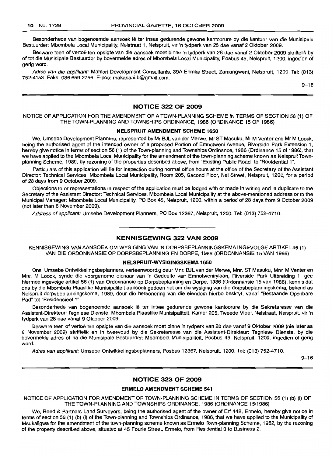Besonderhede van bogenoemde aansoek lê ter insae gedurende gewone kantoorure by die kantoor van die Munisipale Bestuurder: Mbombela Local Municipality, Nelstraat 1, Nelspruit, vir 'n tydperk van 28 dae vanaf 2 Oktober 2009.

Besware teen of vertoë ten opsigte van die aansoek moet binne 'n tydperk van 28 dae vanaf 2 Oktober 2009 skriftelik by of tot die Munisipale Bestuurder by bovermelde adres of Mbombela Local Municipality, Posbus 45, Nelspruit, 1200, ingedien of gerig word.

Adres van die applikant: Mahlori Development Consultants, 39A Ehmke Street, Zamangweni, Nelspruit, 1200. Tel: (013) 752-4153. Faks: 086 659 2756. E-pos: makasani.b@gmail.com.

9-16

#### NOTICE 322 OF 2009

NOTICE OF APPLICATION FOR THE AMENDMENT OF A TOWN-PLANNING SCHEME IN TERMS OF SECTION 56 (1) OF THE TOWN-PLANNING AND TOWNSHIPS ORDINANCE, 1986 (ORDINANCE 15 OF 1986)

#### NELSPRUIT AMENDMENT SCHEME 1650

We, Umsebe Development Planners, represented by Mr BJL van der Merwe, Mr ST Masuku, Mr M Venter and Mr M Loock, being the authorised agent of the intended owner of a proposed Portion of Emnotweni Avenue, Riverside Park Extension 1, hereby give notice in terms of section 56 (1) of the Town-planning and Townships Ordinance, 1986 (Ordinance 15 of 1986), that we have applied to the Mbombela Local Municipality for the amendment of the town-planning scheme known as Nelspruit Townplanning Scheme, 1989, by rezoning of the properties described above, from "Existing Public Road" to "Residential 1".

Particulars of this application will lie for inspection during normal office hours at the office of the Secretary of the Assistant Director: Technical Services, Mbombela Local Municipality, Room 205, Second Floor, Nel Street, Nelspruit, 1200, for a period of 28 days from 9 October 2009.

Objections to or representations in respect of the application must be lodged with or made in writing and in duplicate to the Secretary of the Assistant Director: Technical Services, Mbombela Local Municipality at the above-mentioned address or to the Municipal Manager: Mbombela Local Municipality, PO Box 45, Nelspruit, 1200, within a period of 28 days from 9 October 2009 (not later than 6 November 2009).

Address of applicant: Umsebe Development Planners, PO Box 12367, Nelspruit, 1200. Tel: (013) 752-4710.

#### KENNISGEWING 322 VAN 2009

**• •**

KENNISGEWING VAN AANSOEK OM WYSIGING VAN 'N DORPSBEPLANNINGSKEMA INGEVOLGE ARTIKEL 56 (1) VAN DIE ORDONNANSIE OP DORPSBEPLANNING EN DORPE, 1986 (ORDONNANSIE 15 VAN 1986)

# NELSPRUIT-WYSIGINGSKEMA 1650

Ons, Umsebe Ontwikkelingsbeplanners, verteenwoordig deur Mm. BJL van der Merwe, Mm. ST Masuku, Mm. M Venter en Mnr. M Loock, synde die voorgenome eienaar van 'n Gedeelte van Emnotwenirylaan, Riverside Park Uitbreiding 1, gee hiermee ingevolge artikel 56 (1) van Ordonnansie op Dorpsbeplanning en Dorpe, 1986 (Ordonnansie 15 van 1986), kennis dat ons by die Mbombela Plaaslike Munisipaliteit aansoek gedoen het om die wysiging van die dorpsbeplanningskema, bekend as Nelspruit-dorpsbeplanningskema, 1989, deur die hersonering van die eiendom hierbo beskryf, vanaf "Bestaande Openbare Pad" tot "Residensieel 1".

Besonderhede van bogenoemde aansoek lê ter insae gedurende gewone kantoorure by die Sekretaresse van die Assistent-Direkteur: Tegniese Dienste, Mbombela Plaaslike Munisipaliteit, Kamer 205, Tweede Vloer, Nelstraat, Nelspruit, vir 'n tydperk van 28 dae vanaf 9 Oktober 2009.

Besware teen of vertoe ten opsigte van die aansoek moet binne 'n tydperk van 28 dae vanaf 9 Oktober 2009 (nie later as 6 November 2009) skriftelik en in tweevoud by die Sekretaresse van die Assistent-Direkteur: Tegniese Dienste, by die bovermelde adres of na die Munisipale Bestuurder: Mbombela Munisipaliteit, Posbus 45, Nelspruit, 1200, ingedien of gerig word.

Adres van appfikant: Umsebe Ontwikkelingsbeplanners, Posbus 12367, Nelspruit, 1200. Tel: (013) 752-4710.

9-16

#### NOTICE 323 OF 2009

#### ERMELO AMENDMENT SCHEME 541

NOTICE OF APPLICATION FOR AMENDMENT OF TOWN-PLANNING SCHEME IN TERMS OF SECTION 56 (1) (b) (i) OF THE TOWN-PLANNING AND TOWNSHIPS ORDINANCE, 1986 (ORDINANCE 15/1986)

We, Reed & Partners Land Surveyors, being the authorised agent of the owner of Erf 442, Ermelo, hereby give notice in terms of section 56 (1) (b) (i) of the Town-planning and Townships Ordinance, 1986, that we have applied to the Municipality of Msukaligwa for the amendment of the town-planning scheme known as Ermelo Town-planning Scheme, 1982, by the rezoning of the property described above, situated at 45 Fourie Street, Ermelo, from Residential 3 to Business 2.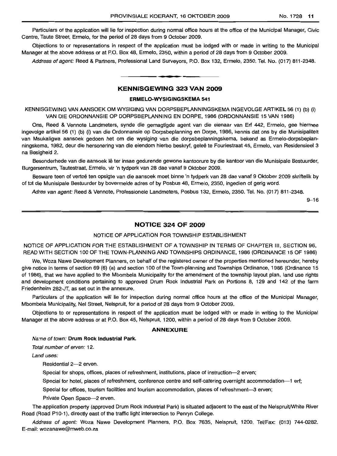Particulars of the application will lie for inspection during normal office hours at the office of the Municipal Manager, Civic Centre, Taute Street, Ermelo, for the period of 28 days from 9 October 2009.

Objections to or representations in respect of the application must be lodged with or made in writing to the Municipal Manager at the above address or at P.O. Box 48, Ermelo, 2350, within a period of 28 days from 9 October 2009.

Address of agent: Reed & Partners, Professional Land Surveyors, P.O. Box 132, Ermelo, 2350. Tel. No. (017) 811-2348.

## **KENNISGEWING 323 VAN 2009**

**• •**

#### **ERMELO-WYSIGINGSKEMA** 541

KENNISGEWING VAN MNSOEK OM WYSIGING VAN DORPSBEPLANNINGSKEMA INGEVOLGE ARTIKEL 56 (1) (b) (i) VAN DIE ORDONNANSIE OP DORPSBEPLANNING EN DORPE, 1986 (ORDONNANSIE 15 VAN 1986)

Ons, Reed & Vennote Landmeters, synde die gemagtigde agent van die eienaar van Erf 442, Ermelo, gee hiermee ingevolge artikel 56 (1) (b) (i) van die Ordonnansie op Dorpsbeplanning en Dorpe, 1986, kennis dat ons by die Munisipaliteit van Msukaligwa aansoek gedoen het om die wysiging van die dorpsbeplanningskema, bekend as Ermelo-dorpsbeplanningskema, 1982, deur die hersonering van die eiendom hierbo beskryf, gelee te Fouriestraat 45, Ermelo, van Residensieel 3 na Besigheid 2.

Besonderhede van die aansoek Ie ter insae gedurende gewone kantoorure by die kantoor van die Munisipale Bestuurder, Burgersentrum, Tautestraat, Ermelo, vir 'n tydperk van 28 dae vanaf 9 Oktober 2009.

Besware teen of vertoë ten opsigte van die aansoek moet binne 'n tydperk van 28 dae vanaf 9 Oktober 2009 skriftelik by of tot die Munisipale Bestuurder by bovermelde adres of by Posbus 48, Ermelo, 2350, ingedien of gerig word.

Adres van agent: Reed & Vennote, Professionele Landmeters, Posbus 132, Ermelo, 2350. Tel. No. (017) 811-2348.

9-16

# **NO'-ICE 324 OF 2009**

#### NOTICE OF APPLICATION FOR TOWNSHIP ESTABLISHMENT

NOTICE OF APPLICATION FOR THE ESTABLISHMENT OF A TOWNSHIP IN TERMS OF CHAPTER III, SECTION 96, READ WITH SECTION 100 OF THE TOWN-PLANNING AND TOWNSHIPS ORDINANCE, 1986 (ORDINANCE 15 OF 1986)

We, Woza Nawe Development Planners, on behalf of the registered owner of the properties mentioned hereunder, hereby give notice in terms of section 69 (6) (a) and section 100 of the Town-planning and Townships Ordinance, 1986 (Ordinance 15 of 1986), that we have applied to the Mbombela Municipality for the amendment of the township layout plan, land use rights and development conditions pertaining to approved Drum Rock Industrial Park on Portions 8, 129 and 142 of the farm Friedenheim 282-JT, as set out in the annexure.

Particulars of the application will lie for inspection during normal office hours at the office of the Municipal Manager, Mbombela Municipality, Nel Street, Nelspruit, for a period of 28 days from 9 October 2009.

Objections to or representations in respect of the application must be lodged with or made in writing to the Municipal Manager at the above address or at P.O. Box 45, Nelspruit, 1200, within a period of 28 days from 9 October 2009.

#### **ANNEXURE**

#### Neme of town: **Drum Rock Industrial Park.**

Total number of erven: 12.

Land uses:

Residential 2-2 erven.

Special for shops, offices, places of refreshment, institutions, place of instruction--2 erven;

Special for hotel, places of refreshment, conference centre and self-catering overnight accommodation-1 erf;

Special for offices, tourism facilities and tourism accommodation, places of refreshment-3 erven;

Private Open Space-2 erven.

The application property (approved Drum Rock Industrial Park) is situated adjacent to the east of the Nelspruit/White River Road (Road P10-1), directly east of the traffic light intersection to Penryn College.

Address of agent: Woza Nawe Development Planners, P.O. Box 7635, Nelspruit, 1200. Tel/Fax: (013) 744-0282. E-mail: wozanawe@mweb.co.za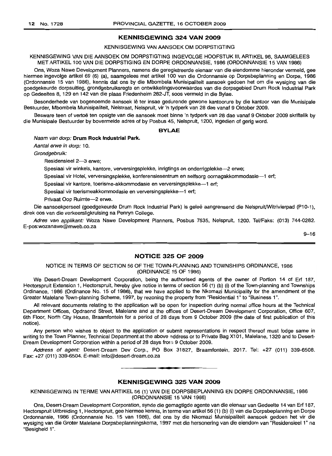#### **KENNISGEWING 324 VAN 2009**

#### KENNISGEWING VAN AANSOEK OM DORPSTIGTING

KENNISGEWING VAN DIE AANSOEK OM DORPSTIGTING INGEVOLGE HOOFSTUK III, ARTIKEL 96, SAAMGELEES MET ARTIKEL 100 VAN DIE DORPSTIGING EN DORPE ORDONNANSIE, 1986 (ORDONNANSIE 15 VAN 1986)

Ons, Woza Nawe Development Planners, namens die geregistreerde eienaar van die eiendomme hieronder vermeld, gee hiermee ingevolge artikel 69 (6) (a), saamgelees met artikel 100 van die Ordonnansie op Dorpsbeplanning en Dorpe, 1986 (Ordonnansie 15 van 1986), kennis dat ons by die Mbombela Munisipaliteit aansoek gedoen het om die wysiging van die goedgekeurde dorpsuitleg, grondgebruiksregte en ontwikkelingsvoorwaardes van die dorpsgebied Drum Rock Industrial Park op Gedeeltes 8, 129 en 142 van die plaas Friedenheim 282-JT, soos vermeld in die Bylae.

Besonderhede van bogenoemde aansoek lê ter insae gedurende gewone kantoorure by die kantoor van die Munisipale Bestuurder, Mbombela Munisipaliteit, Nelstraat, Nelspruit, vir 'n tydperk van 28 dae vanaf 9 Oktober 2009.

Besware teen of vertoë ten opsigte van die aansoek moet binne 'n tydperk van 28 dae vanaf 9 Oktober 2009 skriftelik by die Munisipale Bestuurder by bovermelde adres of by Posbus 45, Nelspruit, 1200, ingedien of gerig word.

#### **BVLAE**

Naam van dorp: **Drum Rock Industrial Park.**

Aantal erwe in dorp: 10.

Grondgebruik:

Residensieel 2-3 erwe;

Spesiaal vir winkels, kantore, verversingsplekke, inrigtings en onderrigplekke-2 erwe;

Spesiaal vir Hotel, verversingsplekke, konferensiesentrum en selfsorg oornagakkommodasie--1 erf;

Spesiaal vir kantore, toerisme-akkommodasie en verversingsplekke--1 erf;

Spesiaal vir toerismeakkommodasie en verversingsplekke-1 erf;

Privaat Oop Ruimte-2 erwe.

Die aansoekperseel (goedgekeurde Drum Rock Industrial Park) is geleë aangrensend die Nelspruit/Witrivierpad (P10-1), direk oos van die verkeersligkruising na Penryn College.

Adres van applikant: Woza Nawe Development Planners, Posbus 7635, Nelspruit, 1200. Tel/Fake: (013) 744-0282. E-pos:wozanawe@mweb.co.za

 $9 - 16$ 

#### **NOTICE 325 OF 2009**

#### NOTICE IN TERMS OF SECTION 56 OF THE TOWN-PLANNING AND TOWNSHIPS ORDINANCE, 1986 (ORDINANCE 15 OF 1986)

We Desert-Dream Development Corporation, being the authorised agents of the owner of Portion 14 of Ert 187, Hectorspruit Extension 1, Hectorspruit, hereby give notice in terms of section 56 (1) (b) (i) of the Town-planning and Townships Ordinance, 1986 (Ordinance No. 15 of 1986), that we have applied to the Nkomazi Municipality for the amendment of the Greater Malelane Town-planning Scheme, 1997, by rezoning the property from "Residential 1" to "Business 1",

All relevant documents relating to the application will be open for inspection during normal office hours at the Technical Department Offices, Opdraend Street, Malelane and at the offices of Desert-Dream Development Corporation, Office 607, 6th Floor, North City House, Braamfontein for a period of 28 days from 9 October 2009 (the date of first publication of this notice).

Any person who wishes to object to the application or submit representations in respect thereof must lodge same in writing to the Town Planner, Technical Department at the above address or to Private Bag X101, Malelane, 1320 and to Desert-Dream Development Corporation within a period of 28 days from 9 October 2009.

Address of agent: Desert-Dream Dev Corp., PO Box 31827, Braamfontein, 2017. Tel: +27 (011) 339-6508. Fax: +27 (011) 339-6504. E-mail: info@desert-dream.co.za

**•**

#### **KENNISGEWING 325 VAN 2009**

KENNISGEWING IN TERME VAN ARTIKEL 56 (1) VAN DIE DORPSBEPLANNING EN DORPE ORDONNANSIE, 1986 (ORDONNANSIE 15 VAN 1986)

Ons, Desert-Dream Development Corporation, synde die gemagtigde agente van die eienaar van Gedeelte 14 van Ert 187, Hectorspruit Uitbreiding 1, Hectorspruit, gee hiermee kennis, in terme van artikel56 (1) (b) (i) van die Dorpsbeplanning en Dorpe Ordonnansie, 1986 (Ordonnansie No. 15 van 1986), dat ons by die Nkomazi Munisipaliteit aansoek gedoen het vir die wysiging van die Groter Malelane Dorpsbeplanningskema, 1997 met die hersonering van die eiendom van "Residensieel 1" na "Besigheid 1".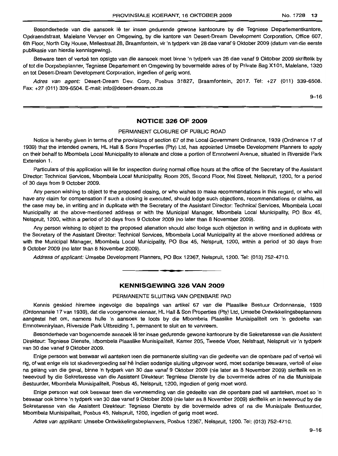Besonderhede van die aansoek lê ter insae gedurende gewone kantoorure by die Tegniese Departementkantore. Opdraendstraat, Malelane Vervoer en Omgewing, by die kantore van Desert-Dream Development Corporation, Office 607, 6th Floor, North City House, Mellestraat 28, Braamfontein, vir 'n tydperk van 28 dae vanaf 9 Oktober 2009 (datum van die eerste publikasie van hierdie kennisgewing).

Besware teen of vertoë ten opsigte van die aansoek moet binne 'n tydperk van 28 dae vanaf 9 Oktober 2009 skriftelik by of tot die Dorpsbeplanner, Tegniese Departement en Omgewing by bovermelde adres of by Private Bag X1 01, Male/ane, 1320 en tot Desert-Dream Development Corporation, ingedien of gerig word.

Adres van agent: Desert-Dream Dev. Corp, Posbus 31827, Braamfontein, 2017. Tel: +27 (011) 339-6508. Fax: +27 (011) 339-6504. E-mail: info@desert-dream.co.za

9-16

#### **NOTICE 326 OF 2009**

#### PERMANENT CLOSURE OF PUBLIC ROAD

Notice is hereby given in terms of the provisions of section 67 of the Local Government Ordinance, 1939 (Ordinance 17 of 1939) that the intended owners, HL Hall & Sons Properties (Pty) Ltd, has appointed Umsebe Development Planners to apply on their behalf to Mbombela Local Municipality to alienate and close a portion of Emnotweni Avenue, situated in Riverside Park Extension 1.

Particulars of this application will lie for inspection during normal office hours at the office of the Secretary of the Assistant Director: Technical Services, Mbombela Local Municipality, Room 205, Second Floor, Nel Street, Nelspruit, 1200, for a period of 30 days from 9 October 2009.

Any person wishing to object to the proposed closing, or who wishes to make recommendations in this regard, or who will have any claim for compensation if such a closing is executed, should lodge such objections, recommendations or claims, as the case may be, in writing and in duplicate with the Secretary of the Assistant Director: Technical Services, Mbombela Local Municipality at the above-mentioned address or with the Municipal Manager, Mbombela Local Municipality, PO Box 45, Nelspruit, 1200, within a period of 30 days from 9 October 2009 (no later than 8 November 2009).

Any person wishing to object to the proposed alienation should also lodge such objection in writing and in duplicate with the Secretary of the Assistant Director: Technical Services, Mbombela Local Municipality at the above mentioned address or with the Municipal Manager, Mbombela Local Municipality, PO Box 45, Nelspruit, 1200, within a period of 30 days from 9 October 2009 (no later than 8 November 2009).

Address of applicant: Umsebe Development Planners, PO Box 12367, Nelspruit, 1200. Tel: (013) 752-4710.

# **KENNISGEWING 326 VAN 2009**

**•**

#### PERMANENTE SLUITING VAN OPENBARE PAD

Kennis geskied hiremee ingevolge die bepalings van artikel 67 van die Plaaslike Bestuur Ordonnansie, 1939 (Ordonnansie 17 van 1939), dat die voorgenome eienaar, HL Hall & Son Properties (Pty) Ltd, Umsebe Ontwikkelingsbeplanners aangestel het om, namens hulle 'n aansoek te loots by die Mbombela Plaaslike Munisipaliteit om 'n gedeelte van Emnotwenirylaan, Riverside Park Uitbreiding 1, permanent te sluit en te vervreem.

Besonderhede van bogenoemde aansoek Iê ter insae gedurende gewone kantoorure by die Sekretaresse van die Assistent Direkteur: Tegniese Dienste, Mbombela Plaaslike Munisipaliteit, Kamer 205, Tweede Vloer, Nelstraat, Nelspruit vir 'n tydperk van 30 dae vanaf 9 Oktober 2009.

Enige persoon wat beswaar wil aanteken teen die permanente sluiting van die gedeelte van die openbare pad of vertoë wil rig, of wat enige eis tot skadevergoeding sal he indien sodanige sluiting uitgevoer word, moet sodanige besware, vertoe of eise na gelang van die geval, binne 'n tydperk van 30 dae vanaf 9 Oktober 2009 (nie later as 8 November 2009) skriftelik en in tweevoud by die Sekretaresse van die Assistent Direkteur: Tegniese Dienste by die bovermelde adres of na die Munisipale Bestuurder, Mbombela Munisipaliteit, Posbus 45, Nelspruit, 1200, ingedien of gerig moet word.

Enige persoon wat ook beswaar teen die vervreemding van die gedeelte van die openbare pad wi! aanteken, moet so 'n beswaar ook binne 'n tydperk van 30 dae vanaf 9 Oktober 2009 (nie later as 8 November 2009) skriftelik en in tweevoud by die Sekretaresse van die Assistent Direkteur: Tegniese Dienste by die bovermelde adres of na die Munisipale Bestuurder, Mbombela Munisipaliteit, Posbus 45, Nelspruit, 1200, ingedien of gerig moet word.

Adres van applikant: Umsebe Ontwikkelingsbeplanners, Posbus 12367, Nelspruit, 1200. Tel: (013) 752-4710.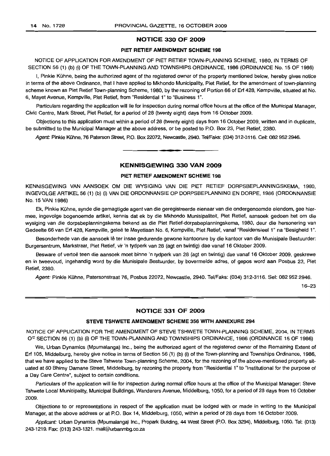#### NOTICE 330 OF 2009

# PIET RETIEF AMENDMENT SCHEME 198

NOTICE OF APPLICATION FOR AMENDMENT OF PIET RETIEF TOWN-PLANNING SCHEME, 1980, IN TERMS OF SECTION 56 (1) (b) (i) OFTHE TOWN-PLANNING AND TOWNSHIPS ORDINANCE, 1986 (ORDINANCE No. 15 OF 1986)

I. Pinkie Kühne, being the authorized agent of the registered owner of the property mentioned below, hereby gives notice in terms of the above Ordinance, that I have applied to Mkhondo Municipality, Piet Retief, for the amendment of town-planning scheme known as Piet Retief Town-planning Scheme, 1980, by the rezoning of Portion 66 of Erf 428, Kempville, situated at No. 6, Mayet Avenue, Kempville, Piet Retief, from "Residential 1" to "Business 1".

Particulars regarding the application will lie for inspection during normal office hours at the office of the Municipal Manager, Civic Centre, Mark Street, Piet Retief, for a period of 28 (twenty eight) days from 16 October 2009.

Objections to this application must within a period of 28 (twenty eight) days from 16 October 2009, written and in duplicate, be submitted to the Municipal Manager at the above address, or be posted to P.O. Box 23, Piet Retief, 2380.

Agent: Pinkie Kühne, 76 Paterson Street, P.O. Box 22072, Newcastle, 2940. Tel/Faks: (034) 312-3116. Cell: 082 952 2946.

#### KENNISGEWING 330 VAN 2009

**• •**

#### PIET RETIEF AMENDMENT SCHEME 198

KENNISGEWING VAN AANSOEK OM DIE WYSIGING VAN DIE PIET RETIEF DORPSBEPLANNINGSKEMA, 1980, INGEVOLGE ARTIKEL 56 (1) (b) (i) VAN DIE ORDONNANSIE OP DORPSBEPLANNING EN DORPE, 1986 (ORDONNANSIE No. 15 VAN 1986)

Ek, Pinkie Kühne, synde die gemagtigde agent van die geregistreerde eienaar van die ondergenoemde eiendom, gee hiermee, ingevolge bogenoemde artikel, kennis dat ek by die Mkhondo Munisipaliteit, Piet Retief, aansoek gedoen het om die wysiging van die dorpsbeplanningskema bekend as die Piet Retief-dorpsbeplanningskema, 1980, deur die hersonering van Gedeelte 66 van Erf 428, Kempville, gelee te Mayetlaan No.6, Kempville, Piet Retief, vanaf "Residensieel 1" na "Besigheid 1".

Besonderhede van die aansoek lê ter insae gedurende gewone kantoorure by die kantoor van die Munisipale Bestuurder: Burgersentrum, Markstraat, Piet Retief, vir 'n tydperk van 28 (agt en twintig) dae vanaf 16 Oktober 2009.

Besware of vertoë teen die aansoek moet binne 'n tydperk van 28 (agt en twintig) dae vanaf 16 Oktober 2009, geskrewe en in tweevoud, ingehandig word by die Munisipale Bestuurder, by bovermelde adres, of gepos word aan Posbus 23, Piet Retief, 2380.

Agent: Pinkie Kühne, Patersonstraat 76, Posbus 22072, Newcastle, 2940. Tel/Faks: (034) 312-3116. Sel: 082 952 2946.

16-23

#### NOTICE 331 OF 2009

#### STEVE TSHWETE AMENDMENT SCHEME 356 WITH ANNEXURE 294

NOTICE OF APPLICATION FOR THE AMENDMENT OF STEVE TSHWETE TOWN-PLANNING SCHEME, 2004, IN TERMS OF SECTION 56 (1) (b) (i) OF THE TOWN-PLANNING AND TOWNSHIPS ORDINANCE, 1986 (ORDINANCE 15 OF 1986)

We, Urban Dynamics (Mpumalanga) Inc., being the authorized agent of the registered owner of the Remaining Extent of Erf 105, Middelburg, hereby give notice in terms of Section 56 (1) (b) (i) of the Town-planning and Townships Ordinance, 1986, that we have applied to the Steve Tshwete Town-planning Scheme, 2004, for the rezoning of the above-mentioned property situated at 60 Bhimy Damane Street, Middelburg, by rezoning the property from "Residential 1" to "Institutional for the purpose of a Day Care Centre", subject to certain conditions.

Particulars of the application will lie for inspection during normal office hours at the office of the Municipal Manager: Steve Tshwete Local Municipality, Municipal Buildings, Wanderers Avenue, Middelburg, 1050, for a period of 28 days from 16 October 2009.

Objections to or representations in respect of the application must be lodged with or made in writing to the Municipal Manager, at the above address or at P.O. Box 14, Middelburg, 1050, within a period of 28 days from 16 October 2009.

Applicant: Urban Dynamics (Mpumalanga) Inc., Propark Building, 44 West Street (P.O. Box 3294), Middelburg, 1050. Tel: (013) 243-1219. Fax: (013) 243-1321. mail@urbanmbg.co.za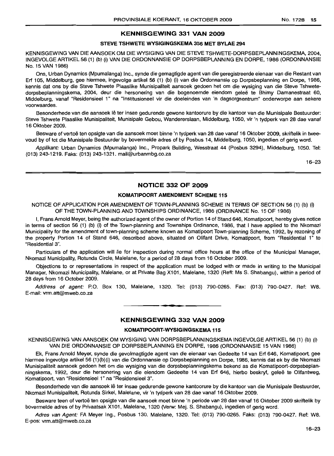## **KENNISGEWING 331 VAN 2009**

# **STEVE TSHWETE WYSIGINGSKEMA 356 MET BYLAE 294**

KENNISGEWING VAN DIE AANSOEK OM DIE WYSIGING VAN DIE STEVE TSHWETE-DORPSBEPLANNINGSKEMA, 2004, INGEVOLGEARTIKEL56 (1) (b) (i) VAN DIE ORDONNANSIE OP DORPSBEPLANNING EN DORPE, 1986 (ORDONNANSIE No. 15 VAN 1986)

Ons, Urban Dynamics (Mpumalanga) Inc., synde die gemagtigde agent van die geregistreerde eienaar van die Restant van Erf 105, Middelburg, gee hiermee, ingevolge artikel 56 (1) (b) (i) van die Ordonnansie op Dorpsbeplanning en Dorpe, 1986, kennis dat ons by die Steve Tshwete Plaaslike Munisipaliteit aansoek gedoen het om die wysiging van die Steve Tshwetedorpsbeplanningskema, 2004, deur die hersonering van die bogenoemde eiendom geleë te Bhimy Damanestraat 60, Middelburg, vanaf "Residensieel 1" na "/nstitusioneel vir die doeleindes van 'n dagsorgsentrum" onderworpe aan sekere voorwaardes.

Besonderhede van die aansoek lê ter insae gedurende gewone kantoorure by die kantoor van die Munisipale Bestuurder: Steve Tshwete Plaaslike Munisipaliteit, Munisipale Gebou, Wandererslaan, Middelburg, 1050, vir 'n tydperk van 28 dae vanaf 16 Oktober 2009.

Besware of vertoë ten opsigte van die aansoek moet binne 'n tydperk van 28 dae vanaf 16 Oktober 2009, skriftelik in tweevoud by of tot die Munisipale Bestuurder by bovermelde adres of by Posbus 14, Middelburg, 1050, ingedien of gerig word.

Applikant: Urban Dynamics (Mpumalanga) Inc., Propark Building, Wesstraat 44 (Posbus 3294), Middelburg, 1050. Tel: (013) 243-1219. Faks: (013) 243-1321. mail@urbanmbg.co.za

16-23

# **NOTICE 332 OF 2009**

# **KOMATIPOORT AMENDMENT SCHEME 115**

NOTICE OF APPLICATION FOR AMENDMENT OF TOWN-PLANNING SCHEME IN TERMS OF SECTION 56 (1) (b) (i) OF THE TOWN-PLANNING AND TOWNSHIPS ORDINANCE, 1986 (ORDINANCE No. 15 OF 1986)

I, Frans Arnold Meyer, being the authorized agent of the owner of Portion 14 of Stand 646, Komatipoort, hereby gives notice in terms of section 56 (1) (b) (i) of the Town-planning and Townships Ordinance, 1986, that I have applied to the Nkomazi Municipality for the amendment of town-planning scheme known as Komatipoort Town-planning Scheme, 1992, by rezoning of the property Portion 14 of Stand 646, described above, situated on Olifant Drive, Komatipoort, from "Residential 1" to "Residential 3".

Particulars of the application will lie for inspection during normal office hours at the office of the Municipal Manager, Nkomazi Municipality, Rotunda Circle, Malelane, for a period of 28 days from 16 October 2009.

Objections to or representations in respect of the application must be lodged with or made in writing to the Municipal Manager, Nkomazi Municipality, Malelane, or at Private Bag Xl 01, Malelane, 1320 (Reft: Ms S. Shabangu), within a period of 28 days from 16 October 2009.

Address of agent: P.O. Box 130, Malelane, 1320. Tel: (013) 790-0265. Fax: (013) 790-0427. Ref: W8. E-mail: vrm.att@mweb.co.za .**- .**

# **KENNISGEWING 332 VAN 2009**

#### **KOMATIPOORT-WYSIGINGSKEMA 115**

KENNISGEWING VAN AANSOEK OM WYSIGING VAN DORPSBEPLANNINGSKEMA INGEVOLGE ARTIKEL 56 (1) (b) (i) VAN DIE ORDONNANSIE OP DORPSBEPLANNING EN DORPE, 1986 (ORDONNANSIE 15 VAN 1986)

Ek, Frans Arnold Meyer, synde die gevolmagtigde agent van die eienaar van Gedeelte 14 van Erf 646, Komatipoort, gee hiermee ingevolge artikel 56 (1 )(b)(i) van die Ordonnansie op Dorpsbeplanning en Dorpe, 1986, kennis dat ek by die Nkomazi Munisipaliteit aansoek gedoen het om die wysiging van die dorpsbeplanningskema bekend as die Komatipoort-dorpsbeplanningskema, 1992, deur die hersonering van die eiendom Gedeelte 14 van Erf 646, hierbo beskryf, gelee te Olifantweg, Komatipoort, van "Residensieel 1" na "Residensieel 3".

Besonderhede van die aansoek lê ter insae gedurende gewone kantoorure by die kantoor van die Munisipale Bestuurder, Nkomazi Munisipaliteit, Rotunda Sirkel, Malelane, vir 'n tydperk van 28 dae vanaf 16 Oktober 2009.

Besware teen of vertoë ten opsigte van die aansoek moet binne 'n periode van 28 dae vanaf 16 Oktober 2009 skriftelik by bovermelde adres of by Privaatsak X101, Malelane, 1320 (Verw: Mej. S. Shabangu), ingedien of gerig word.

Adres van Agent: FA Meyer Ing., Posbus 130, Malelane, 1320. Tel: (013) 790-0265. Faks: (013) 790-0427. Ref: W8. E-pos: vrm.att@mweb.co.za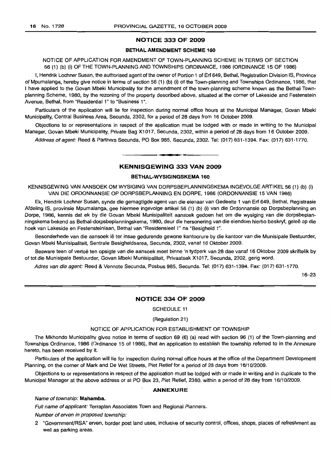#### **NOTICE 333 OF 2009**

#### **BETHALAMENDMENT SCHEME 160**

#### NOTICE OF APPLICATION FOR AMENDMENT OF TOWN-PLANNING SCHEME IN TERMS OF SECTION 56 (1) (b) (i) OF THE TOWN-PLANNING AND TOWNSHIPS ORDINANCE, 1986 (ORDINANCE 15 OF 1986)

I, Hendrik Lochner Susan, the authorised agent of the owner of Portion 1 of Erf 649, Bethal, Registration Division IS, Province of Mpumalanga, hereby give notice in terms of section 56 (1) (b) (i) of the Town-planning and Townships Ordinance, 1986, that I have applied to the Govan Mbeki Municipality for the amendment of the town-planning scheme known as the Bethal Townplanning Scheme, 1980, by the rezoning of the property described above, situated at the corner of Lakeside and Festenstein Avenue, Bethal, from "Residential 1" to "Business 1".

Particulars of the application will lie for inspection during normal office hours at the Municipal Manager, Govan Mbeki Municipality, Central Business Area, Secunda, 2302, for a period of 28 days from 16 October 2009.

Objections to or representations in respect of the application must be lodged with or made in writing to the Municipal Manager, Govan Mbeki Municipality, Private Bag X1017, Secunda, 2302, within a period of 28 days from 16 October 2009.

Address of agent: Reed & Partners Secunda, PO Box 985, Secunda, 2302. Tel: (017) 631-1394. Fax: (017) 631-1770.

**I. I**

# **KENNISGEWING 333 VAN 2009**

### **BETHAL-WYSIGINGSKEMA 160**

KENNISGEWING VAN AANSOEK OM WYSIGING VAN DORPSBEPLANNINGSKEMA INGEVOLGE ARTIKEL 56 (1) (b) (i) VAN DIE ORDONNANSIE OP DORPSBEPLANNING EN DORPE, 1986 (ORDONNANSIE 15 VAN 1986)

Ek, Hendrik Lochner Susan, synde die gemagtigde agent van die eienaar van Gedeelte 1 van Erf 649, Bethal, Registrasie Afdeling IS, provinsie Mpumalanga, gee hiermee ingevolge artikel 56 (1) (b) (i) van die Ordonnansie op Dorpsbeplanning en Dorpe, 1986, kennis dat ek by die Govan Mbeki Munisipaliteit aansoek gedoen het om die wysiging van die dorpsbeplanningskema bekend as Bethal-dorpsbeplanningskema, 1980, deur die hersonering van die eiendom hierbo beskryf, gelee op die hoek van Lakeside en Festensteinlaan, Bethal van "Residensieel 1" na "Besigheid 1".

Besonderhede van die aansoek lê ter insae gedurende gewone kantoorure by die kantoor van die Munisipale Bestuurder, Govan Mbeki Munisipaliteit, Sentrale Besigheidsarea, Secunda, 2302, vanaf 16 Oktober 2009.

Besware teen of vertoë ten opsigte van die aansoek moet binne 'n tydperk van 28 dae vanaf 16 Oktober 2009 skriftelik bv of tot die Munisipale Bestuurder, Govan Mbeki Munisipaliteit, Privaatsak X1017, Secunda, 2302, gerig word.

Adres van die agent: Reed & Vennote Secunda, Posbus 985, Secunda. Tel: (017) 631-1394. Fax: (017) 631-1770.

16-23

#### **NOTICE 334 OF 2009**

SCHEDULE 11

(Regulation 21)

#### NOTICE OF APPLICATION FOR ESTABLISHMENT OF TOWNSHIP

The Mkhondo Municipality gives notice in terms of section 69 (6) (a) read with section 96 (1) of the Town-planning and Townships Ordinance, 1986 (Ordinance 15 of 1986), that an application to establish the township referred to in the Annexure hereto, has been received by it.

Particulars of the application will lie for inspection during normal office hours at the office of the Department Development Planning, on the corner of Mark and De Wet Streets, Piet Retief for a period of 28 days from 16/10/2009.

Objections to or representations in respect of the application must be lodged with or made in writing and in duplicate to the Municipal Manager at the above address or at PO Box 23, Piet Retief, 2380, within a period of 28 day from 16/10/2009.

#### **ANNEXURE**

#### Name of township: **Mahamba.**

Full name of applicant: Terraplan Associates Town and Regional Planners.

Number of erven in proposed township:

2 "GovernmenVRSA" erven, border post land uses, inclusive of security control, offices, shops, places of refreshment as well as parking areas.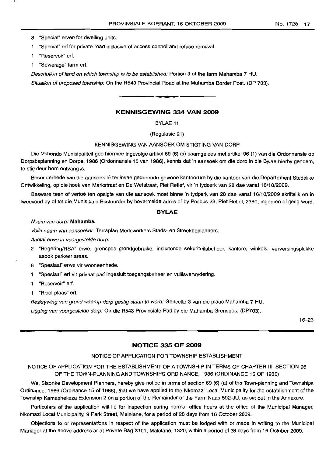- "Special" ert for private road inclusive of access control and refuse removal.
- 1 "Reservoir" erf.
- "Sewerage" farm ert.

Description of land on which township is to be established: Portion 3 of the farm Mahamba 7 HU.

Situation of proposed township: On the R543 Provincial Road at the Mahamba Border Post. (DP 703).

# **KENNISGEWING 334 VAN 2009**

**•**

BYLAE 11

(Regulasie 21)

#### KENNISGEWING VAN AANSOEK OM STIGTING VAN DORP

Die Mkhondo Munisipaliteit gee hiermee ingevolge artikel 69 (6) (a) saamgelees met artikel 96 (1) van die Ordonnansie op Dorpsbeplanning en Dorpe, 1986 (Ordonnansie 15 van 1986), kennis dat 'n aansoek om die dorp in die Bylae hierby genoem, te stig deur hom ontvang is.

Besonderhede van die aansoek lê ter insae gedurende gewone kantoorure by die kantoor van die Departement Stedelike Ontwikkeling, op die hoek van Markstraat en De Wetstraat, Piet Retief, vir 'n tydperk van 28 dae vanaf 16/10/2009.

Besware teen of vertoë ten opsigte van die aansoek moet binne 'n tydperk van 28 dae vanaf 16/10/2009 skriftelik en in tweevoud by of tot die Munisipale Bestuurder by bovermelde adres of by Posbus 23, Piet Retief, 2380, ingedien of gerig word.

#### **BYLAE**

#### Naam van dorp: **Mahamba.**

Volle naam van aansoeker: Terraplan Medewerkers Stads- en Streekbeplanners.

Aantal erwe in voorgestelde dorp:

- 2 "Regering/RSA" erwe, grenspos grondgebruike, insluitende sekuriteitsbeheer, kantore, winkels, verversingsplekke asook parkeer areas.
- 8 "Spesiaal" erwe vir wooneenhede.
- "Spesiaal" erf vir privaat pad ingesluit toegangsbeheer en vullisverwydering.
- 1 "Reservoir" erf.
- 1 "Riool plaas" erf.

Beskrywing van grond waarop dorp gestig staan te word: Gedeelte 3 van die plaas Mahamba 7 HU.

Ligging van voorgestelde dorp: Op die R543 Provinsiale Pad by die Mahamba Grenspos. (DP703).

16-23

# **NOTICE 335 OF 2009**

# NOTICE OF APPLICATION FOR TOWNSHIP ESTABLISHMENT

# NOTICE OF APPLICATION FOR THE ESTABLISHMENT OF A TOWNSHIP IN TERMS OF CHAPTER Ill, SECTiON 96 OF THE TOWN-PLANNING AND TOWNSHIPS ORDINANCE, 1986 (ORDINANCE 15 OF 1986)

We, Sisonke Development Planners, hereby give notice in terms of section 69 (6) (a) of the Town-planning and Townships Ordinance, 1986 (Ordinance 15 of 1986), that we have applied to the Nkomazi Local Municipality for the establishment of the Township Kamaqhekeza Extension 2 on a portion of the Remainder of the Farm Naas 592-JU, as set out in the Annexure.

Particulars of the application will lie for inspection during normal office hours at the office of the Municipal Manager, Nkomazi Local Municipality, 9 Park Street, Malelane, for a period of 28 days from 16 October 2009.

Objections to or representations in respect of the application must be lodged with or made in writing to the Municipal Manager at the above address or at Private Bag X101, Malelane, 1320, within a period of 28 days from 16 October 2009.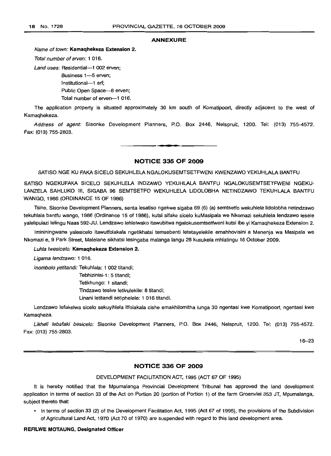#### **ANNEXURE**

#### Name of town: **Kamaqhekeza Extension 2.**

Total number of erven: 1 016.

Land uses: Residential-1 002 erven:

Business 1-5 erven; Institutional-1 erf; Public Open Space-8 erven; Total number of erven-1 016.

The application property is situated approximately 30 km south of Komatipoort, directly adjacent to the west of Kamaqhekeza.

Address of agent: Sisonke Development Planners, P.O. Box 2446, Nelspruit, 1200. Tel: (013) 755-4572. Fax: (013) 755-2803.

**NOTICE 335 OF 2009**

**• E**

SATISO NGE KU FAKA SICELO SEKUHLELA NGALOKUSEMTSETFWENI KWENZAWO YEKUHLALA BANTFU

SATISO NGEKUFAKA SICELO SEKUHLELA INDZAWO YEKUHLALA BANTFU NGALOKUSEMTSETFWENI NGEKU· LANZELA SAHLUKO III, SIGABA 96 SEMTSETFO WEKUHLELA L1DOLOBHA NETINDZAWO TEKUHLALA BANTFU WANGO, 1986 (ORDINANCE 15 OF 1986)

Tsine, Sisonke Development Planners, senta lesatiso ngekwe sigaba 69 (6) (a) semtsetfo wekuhlela Iidolobha netindzawo tekuhlala bantfu wango, 1986 (Ordinance 15 of 1986), kutsi sifake sicelo kuMasipala we Nkomazi sekuhlela lendzawo lesele yalelipulazi lelingu Naas 592-JU. Lendzawo lehlelwako itawubitwa ngalokusemtsetfweni kutsi ibe yi Kamaqhekeza Extension 2.

Imininingwane yalesicelo itawutfolakala ngetikhatsi temsebenti letetayelekile emahhovisini a Menenja wa Masipala we Nkomazi e, 9 Park Street, Malelane sikhatsi lesingaba malanga langu 28 kusukela mhlatingu 16 October 2009.

Luhla Iwesicelo: **Kamaqhekeza Extension 2.**

Ligama lendzawo: 1 016.

Inombolo yetitandi: Tekuhlala: 1 002 titandi;

Tebhizinisi-1: 5 titandi; Tetikhungo: 1 sitandi;

Tindzawo tesive letivulekile: 8 titandi;

Linani letitandi setiphelele: 1 016 titandi.

Lendzawo lefakelwa sicelo sekuyihlela itfolakala cishe emakhilomitha lunga 30 ngentasi kwe Komatipoort, ngentasi kwe Kamaqheza.

Likheli lebafaki besiceio: Sisonke Development Planners, P.O. Box 2446, Nelspruit, 1200. Tel: (013) 755-4572. Fax: (013) 755-2803.

16-23

# **NOTICE 336 OF 2009**

DEVELOPMENT FACILITATION ACT, 1995 (ACT 67 OF 1995)

It is hereby notified that the Mpumalanga Provincial Development Tribunal has approved the land development application in terms of section 33 of the Act on Portion 20 (portion of Portion 1) of the farm Groenvlei 353 JT, Mpumalanga, subject thereto that:

• In terms of section 33 (2) of the Development Facilitation Act, 1995 (Act 67 of 1995), the provisions of the Subdivision of Agricultural Land Act, 1970 (Act 70 of 1970) are suspended with regard to this land development area.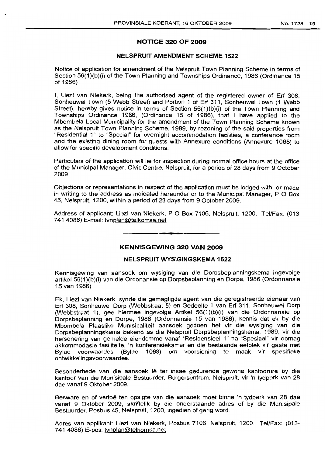# **NOTICE 320 OF 2009**

# **NELSPRUIT AMENDMENT SCHEME 1522**

Notice of application for amendment of the Nelspruit Town Planning Scheme in terms of Section 56(1)(b)(i) of the Town Planning and Townships Ordinance, 1986 (Ordinance 15 of 1986)

I, Liezl van Niekerk, being the authorised agent of the registered owner of Erf 308, Sonheuwel Town (5 Webb Street) and Portion 1 of Erf 311, Sonheuwel Town (1 Webb Street), hereby gives notice in terms of Section 56(1)(b)(i) of the Town Planning and Townships Ordinance 1986, (Ordinance 15 of 1986), that I have applied to the Mbombela Local Municipality for the amendment of the Town Planning Scheme known as the Nelspruit Town Planning Scheme, 1989, by rezoning of the said properties from "Residential 1" to "Special" for overnight accommodation facilities. a conference room and the existing dining room for guests with Annexure conditions (Annexure 1068) to allow for specific development conditions.

Particulars of the application will lie for inspection during normal office hours at the office of the Municipal Manager, Civic Centre, Nelspruit, for a period of 28 days from 9 October 2009.

Objections or representations in respect of the application must be lodged with, or made in writing to the address as indicated hereunder or to the Municipal Manager, POBox 45, Nelspruit, 1200, within a period of 28 days from 9 October 2009.

Address of applicant: Liezl van Niekerk, POBox 7106, Nelspruit, 1200. Tel/Fax: (013 741 4086) E-mail: Ivnplan@telkomsa.net

### **KENNISGEWING 320 VAN 2009**

**- I**

#### **NELSPRUIT WYSIGINGSKEMA 1522**

Kennisgewing van aansoek om wysiging van die Dorpsbeplanningskema ingevolge artikel 56(1 )(b)(i) van die Ordonansie op Dorpsbeplanning en Dorpe, 1986 (Ordonnansie 15 van 1986)

Ek, Liezl van Niekerk, synde die gemagtigde agent van die geregistreerde eienaar van Erf 308, Sonheuwel Dorp (Webbstraat 5) en Gedeelte 1 van Erf 311, Sonheuwel Dorp (Webbstraat 1), gee hiermee ingevolge Artikel 56(1 )(b)(i) van die Ordonnansie op Dorpsbeplanning en Dorpe, 1986 (Ordonnansie 15 van 1986), kennis dat ek by die Mbombela Plaaslike Munisipaliteit aansoek gedoen het vir die wysiging van die Dorpsbeplanningskema bekend as die Nelspruit Dorpsbeplanningskema, 1989, vir die hersonering van gemelde eiendomme vanaf "Residensieel 1" na "Spesiaal" vir oornag akkommodasie fasiliteite, 'n konferensiekamer en die bestaande eetplek vir gaste met Bylae voorwaardes (Bylae 1068) om voorsiening te maak vir spesifieke ontwikkelingsvoorwaardes.

Besonderhede van die aansoek lê ter insae gedurende gewone kantoorure by die kantoor van die Munisipale Bestuurder, Burgersentrum, Nelspruit, vir 'n tydperk van 28 dae vanaf 9 Oktober 2009.

Besware en of vertoë ten opsigte van die aansoek moet binne 'n tydperk van 28 dae vanaf 9 Oktober 2009, skriftelik by die onderstaande adres of by die Munisipale Bestuurder, Posbus 45, Nelspruit, 1200, ingedien of gerig word.

Adres van applikant: Liezl van Niekerk, Posbus 7106, Nelspruit, 1200. Tel/Fax: (013- 741 4086) E-pos: Ivnplan@telkomsa.net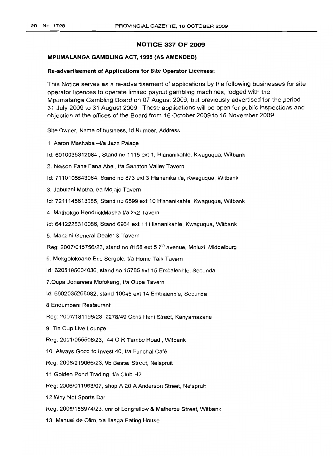# **NOTICE 337 OF 2009**

#### **MPllMALANGA GAMBLING ACT, 1995 (AS AMENDED)**

#### **Re-advertisement of Applications for Site Operator Licenses:**

This Notice serves as a re-advertisement of applications by the following businesses for site operator licences to operate limited payout gambling machines, lodged with the Mpumalanga Gambling Board on 07 August 2009, but previously advertised for the period 31 July 2009 to 31 August 2009. These applications will be open for public inspections and objection at the offices of the Board from 16 October 2009 to 16 November 2009.

Site Owner, Name of business, Id Number, Address:

1. Aaron Mashaba -t/a Jazz Palace

Id: 6010035312084 , Stand no 1115 ext 1, Hlananikahle, Kwaguqua, Witbank

2. Nelson Fana Fana Abel, t/a Sandton Valley Tavern

Id: 7110105643084, Stand no 873 ext 3 Hlananikahle, Kwaguqua, Witbank

3. Jabulani Motha, t/a Mojajo Tavern

Id: 7211145613085, Stand no 6599 ext 10 Hlananikahle, Kwaguqua, Witbank

4. Mathokgo HendrickMasha t/a 2x2 Tavern

Id: 6412225310086, Stand 6964 ext 11 Hlananikahle, Kwaguqua, Witbank

5. Manzini General Dealer & Tavern

Reg: 2007/015756/23, stand no 8158 ext 5  $7<sup>th</sup>$  avenue, Mhluzi, Middelburg

6. Mokgolokoane Eric Sergole, t/a Home Talk Tavern

Id: 6205195604086, stand no 15785 ext 15 Embalenhle, Secunda

7.0upa Johannes Mofokeng, t/a Oupa Tavern

Id: 6602035268082, stand 10045 ext 14 Embalenhle, Secunda

8.Endumbeni Restaurant

Reg: 2007/181196/23, 2278/49 Chris Hani Street, Kanyamazane

9. Tin Cup Live Lounge

Reg: 2001/055508/23, 440 R Tambo Road, Witbank

10. Always Good to Invest 40, Va Funchal Cafe

Reg: 2006/219066/23, 9b Bester Street, Nelspruit

11.Golden Pond Trading, t/a Club H2

Reg: 2006/011963/07, shop A 20 A Anderson Street, Nelspruit

12.Why Not Sports Bar

Reg: 2008/156974/23, cnr of Longfellow & Malherbe Street, Witbank

13. Manuel de Olim, t/a lIanga Eating House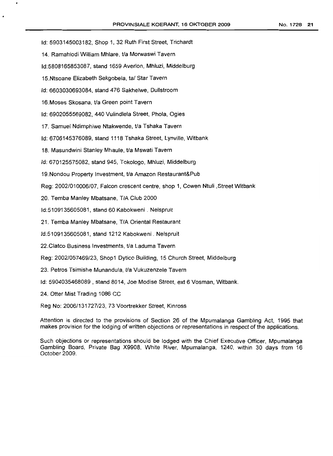Id: 5903145003182, Shop 1, 32 Ruth First Street, Trichardt

14. Ramahlodi William Mhlare, t/a Morwaswi Tavern

Id:5808165853087, stand 1659 Averlon, Mhluzi, Middelburg

15.Ntsoane Elizabeth Sekgobela, tal Star Tavern

Id: 6603030693084, stand 476 Sakhelwe, Dullstroom

16. Moses Skosana, t/a Green point Tavern

Id: 6902055569082, 440 Vulindlela Street, Phola, Ogies

17. Samuel Ndimphiwe Ntakwende, t/a Tshaka Tavern

Id: 6706145376089, stand 1118 Tshaka Street, Lynville, Witbank

18. Masundwini Stanley Mhaule, t/a Mswati Tavern

Id: 670125575082, stand 945, Tokologo, Mhluzi, Middelburg

19. Nondou Property Investment, t/a Amazon Restaurant&Pub

Reg: 2002/010006/07, Falcon crescent centre, shop 1, Cowen Ntuli ,Street Witbank

20. Temba Manley Mbatsane, TIA Club 2000

Id:5109135605081, stand 60 Kabokweni. Nelspruit

21. Temba Manley Mbatsane, TIA Oriental Restaurant

Id:5109135605081, stand 1212 Kabokweni . Nelspruit

22. Clatco Business Investments, t/a Laduma Tavern

Reg: 2002/057469/23, Shop1 Dytico Building, 15 Church Street, Middelburg

23. Petros Tsimishe Munandula, t/a Vukuzenzele Tavern

Id: 5904035468089, stand 8014, Joe Modise Street, ext 6 Vosman, Witbank.

24. Otter Mist Trading 1086 CC

Reg No: 2006/131727/23, 73 Voortrekker Street, Kinross

Attention is directed to the provisions of Section 26 of the Mpumalanga Gambling Act, 1995 that makes provision for the lodging of written objections or representations in respect of the applications.

Such objections or representations should be lodged with the Chief Executive Officer, Mpumalanga Gambling Board, Private Bag X9908, White River, Mpumalanga, 1240, within 30 days from 16 October 2009.